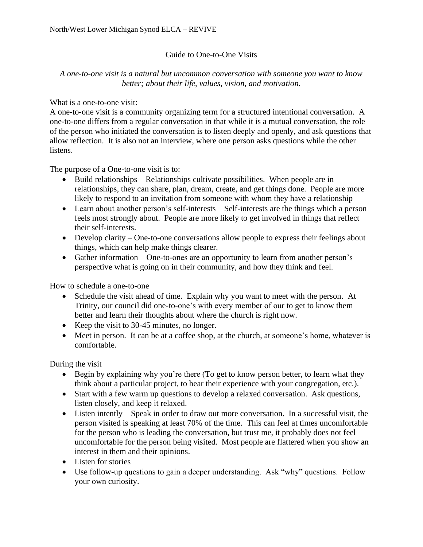## Guide to One-to-One Visits

## *A one-to-one visit is a natural but uncommon conversation with someone you want to know better; about their life, values, vision, and motivation.*

## What is a one-to-one visit:

A one-to-one visit is a community organizing term for a structured intentional conversation. A one-to-one differs from a regular conversation in that while it is a mutual conversation, the role of the person who initiated the conversation is to listen deeply and openly, and ask questions that allow reflection. It is also not an interview, where one person asks questions while the other listens.

The purpose of a One-to-one visit is to:

- Build relationships Relationships cultivate possibilities. When people are in relationships, they can share, plan, dream, create, and get things done. People are more likely to respond to an invitation from someone with whom they have a relationship
- Learn about another person's self-interests Self-interests are the things which a person feels most strongly about. People are more likely to get involved in things that reflect their self-interests.
- Develop clarity One-to-one conversations allow people to express their feelings about things, which can help make things clearer.
- Gather information One-to-ones are an opportunity to learn from another person's perspective what is going on in their community, and how they think and feel.

How to schedule a one-to-one

- Schedule the visit ahead of time. Explain why you want to meet with the person. At Trinity, our council did one-to-one's with every member of our to get to know them better and learn their thoughts about where the church is right now.
- Keep the visit to 30-45 minutes, no longer.
- Meet in person. It can be at a coffee shop, at the church, at someone's home, whatever is comfortable.

During the visit

- Begin by explaining why you're there (To get to know person better, to learn what they think about a particular project, to hear their experience with your congregation, etc.).
- Start with a few warm up questions to develop a relaxed conversation. Ask questions, listen closely, and keep it relaxed.
- Listen intently Speak in order to draw out more conversation. In a successful visit, the person visited is speaking at least 70% of the time. This can feel at times uncomfortable for the person who is leading the conversation, but trust me, it probably does not feel uncomfortable for the person being visited. Most people are flattered when you show an interest in them and their opinions.
- Listen for stories
- Use follow-up questions to gain a deeper understanding. Ask "why" questions. Follow your own curiosity.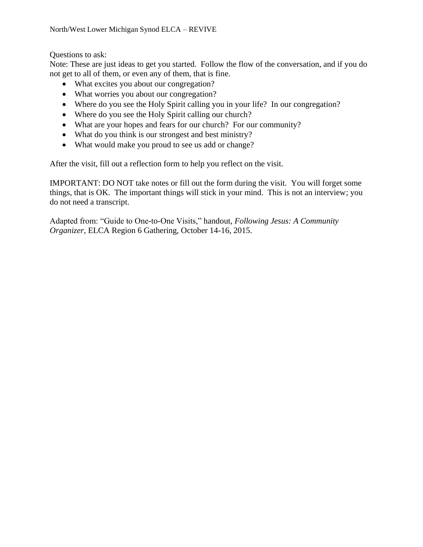Questions to ask:

Note: These are just ideas to get you started. Follow the flow of the conversation, and if you do not get to all of them, or even any of them, that is fine.

- What excites you about our congregation?
- What worries you about our congregation?
- Where do you see the Holy Spirit calling you in your life? In our congregation?
- Where do you see the Holy Spirit calling our church?
- What are your hopes and fears for our church? For our community?
- What do you think is our strongest and best ministry?
- What would make you proud to see us add or change?

After the visit, fill out a reflection form to help you reflect on the visit.

IMPORTANT: DO NOT take notes or fill out the form during the visit. You will forget some things, that is OK. The important things will stick in your mind. This is not an interview; you do not need a transcript.

Adapted from: "Guide to One-to-One Visits," handout, *Following Jesus: A Community Organizer*, ELCA Region 6 Gathering, October 14-16, 2015.